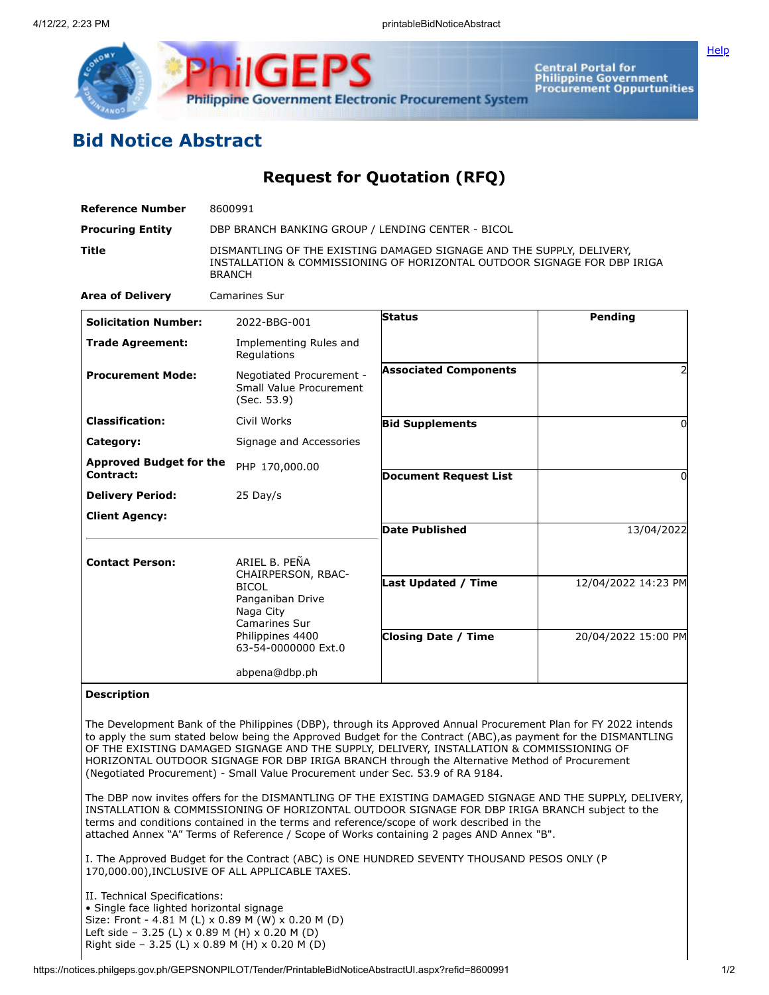

Central Portal for<br>Philippine Government<br>Procurement Oppurtunities

**[Help](javascript:void(window.open()** 

## **Bid Notice Abstract**

**Request for Quotation (RFQ)**

| <b>Reference Number</b>                     | 8600991                                                                                                                                                            |                                                          |                                            |
|---------------------------------------------|--------------------------------------------------------------------------------------------------------------------------------------------------------------------|----------------------------------------------------------|--------------------------------------------|
| <b>Procuring Entity</b>                     | DBP BRANCH BANKING GROUP / LENDING CENTER - BICOL                                                                                                                  |                                                          |                                            |
| <b>Title</b>                                | DISMANTLING OF THE EXISTING DAMAGED SIGNAGE AND THE SUPPLY, DELIVERY,<br>INSTALLATION & COMMISSIONING OF HORIZONTAL OUTDOOR SIGNAGE FOR DBP IRIGA<br><b>BRANCH</b> |                                                          |                                            |
| <b>Area of Delivery</b>                     | <b>Camarines Sur</b>                                                                                                                                               |                                                          |                                            |
| <b>Solicitation Number:</b>                 | 2022-BBG-001                                                                                                                                                       | <b>Status</b>                                            | Pending                                    |
| <b>Trade Agreement:</b>                     | Implementing Rules and<br>Regulations                                                                                                                              |                                                          |                                            |
| <b>Procurement Mode:</b>                    | Negotiated Procurement -<br>Small Value Procurement<br>(Sec. 53.9)                                                                                                 | <b>Associated Components</b>                             | 2                                          |
| <b>Classification:</b>                      | Civil Works                                                                                                                                                        | <b>Bid Supplements</b>                                   |                                            |
| Category:                                   | Signage and Accessories                                                                                                                                            |                                                          |                                            |
| <b>Approved Budget for the</b><br>Contract: | PHP 170,000.00                                                                                                                                                     | <b>Document Request List</b>                             | 0                                          |
| <b>Delivery Period:</b>                     | $25$ Day/s                                                                                                                                                         |                                                          |                                            |
| <b>Client Agency:</b>                       |                                                                                                                                                                    |                                                          |                                            |
|                                             |                                                                                                                                                                    | <b>Date Published</b>                                    | 13/04/2022                                 |
| <b>Contact Person:</b>                      | ARIEL B. PEÑA<br>CHAIRPERSON, RBAC-<br><b>BICOL</b><br>Panganiban Drive<br>Naga City<br>Camarines Sur<br>Philippines 4400                                          | <b>Last Updated / Time</b><br><b>Closing Date / Time</b> | 12/04/2022 14:23 PM<br>20/04/2022 15:00 PM |
|                                             | 63-54-0000000 Ext.0<br>abpena@dbp.ph                                                                                                                               |                                                          |                                            |

## **Description**

The Development Bank of the Philippines (DBP), through its Approved Annual Procurement Plan for FY 2022 intends to apply the sum stated below being the Approved Budget for the Contract (ABC),as payment for the DISMANTLING OF THE EXISTING DAMAGED SIGNAGE AND THE SUPPLY, DELIVERY, INSTALLATION & COMMISSIONING OF HORIZONTAL OUTDOOR SIGNAGE FOR DBP IRIGA BRANCH through the Alternative Method of Procurement (Negotiated Procurement) - Small Value Procurement under Sec. 53.9 of RA 9184.

The DBP now invites offers for the DISMANTLING OF THE EXISTING DAMAGED SIGNAGE AND THE SUPPLY, DELIVERY, INSTALLATION & COMMISSIONING OF HORIZONTAL OUTDOOR SIGNAGE FOR DBP IRIGA BRANCH subject to the terms and conditions contained in the terms and reference/scope of work described in the attached Annex "A" Terms of Reference / Scope of Works containing 2 pages AND Annex "B".

I. The Approved Budget for the Contract (ABC) is ONE HUNDRED SEVENTY THOUSAND PESOS ONLY (P 170,000.00),INCLUSIVE OF ALL APPLICABLE TAXES.

II. Technical Specifications: • Single face lighted horizontal signage Size: Front - 4.81 M (L) x 0.89 M (W) x 0.20 M (D) Left side – 3.25 (L) x 0.89 M (H) x 0.20 M (D) Right side – 3.25 (L) x 0.89 M (H) x 0.20 M (D)